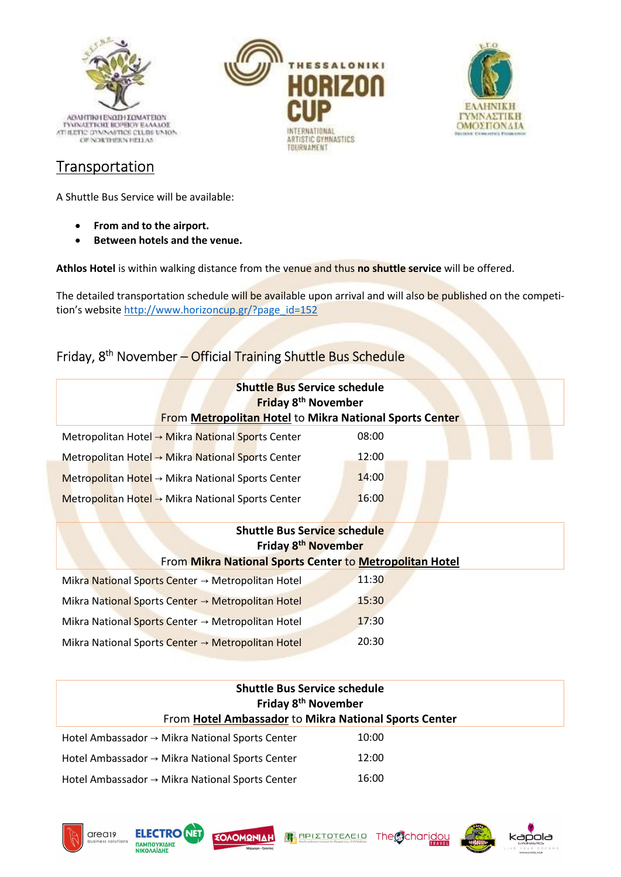

## Transportation

A Shuttle Bus Service will be available:

- From and to the airport.
- Between hotels and the venue.

Athlos Hotel is within walking distance from the venue and thus no shuttle service will be offered.

The detailed transportation schedule will be available upon arrival and will also be published on the competition's website http://www.horizoncup.gr/?page\_id=152

THESSALON

**TIONAL** 

ARTISTIC GYMNASTICS TOURNAMENT

# Friday, 8th November – Official Training Shuttle Bus Schedule

| <b>Shuttle Bus Service schedule</b><br><b>Friday 8th November</b><br>From Metropolitan Hotel to Mikra National Sports Center |       |  |
|------------------------------------------------------------------------------------------------------------------------------|-------|--|
| Metropolitan Hotel → Mikra National Sports Center                                                                            | 08:00 |  |
| Metropolitan Hotel $\rightarrow$ Mikra National Sports Center                                                                | 12:00 |  |
| Metropolitan Hotel $\rightarrow$ Mikra National Sports Center                                                                | 14:00 |  |
| Metropolitan Hotel $\rightarrow$ Mikra National Sports Center                                                                | 16:00 |  |
|                                                                                                                              |       |  |

| <b>Shuttle Bus Service schedule</b><br>Friday 8 <sup>th</sup> November |       |  |
|------------------------------------------------------------------------|-------|--|
| From Mikra National Sports Center to Metropolitan Hotel                |       |  |
| Mikra National Sports Center $\rightarrow$ Metropolitan Hotel          | 11:30 |  |
| Mikra National Sports Center → Metropolitan Hotel                      | 15:30 |  |
| Mikra National Sports Center $\rightarrow$ Metropolitan Hotel          | 17:30 |  |
| Mikra National Sports Center $\rightarrow$ Metropolitan Hotel          | 20:30 |  |

| <b>Shuttle Bus Service schedule</b><br>Friday 8 <sup>th</sup> November<br>From Hotel Ambassador to Mikra National Sports Center |       |  |
|---------------------------------------------------------------------------------------------------------------------------------|-------|--|
| Hotel Ambassador $\rightarrow$ Mikra National Sports Center                                                                     | 10:00 |  |
| Hotel Ambassador $\rightarrow$ Mikra National Sports Center                                                                     | 12:00 |  |
| Hotel Ambassador $\rightarrow$ Mikra National Sports Center                                                                     | 16:00 |  |









**EAAHNIKH** 

*ΓΥΜΝΑΣΤΙΚΗ* 

ΟΜΟΣΠΟΝΔΙΑ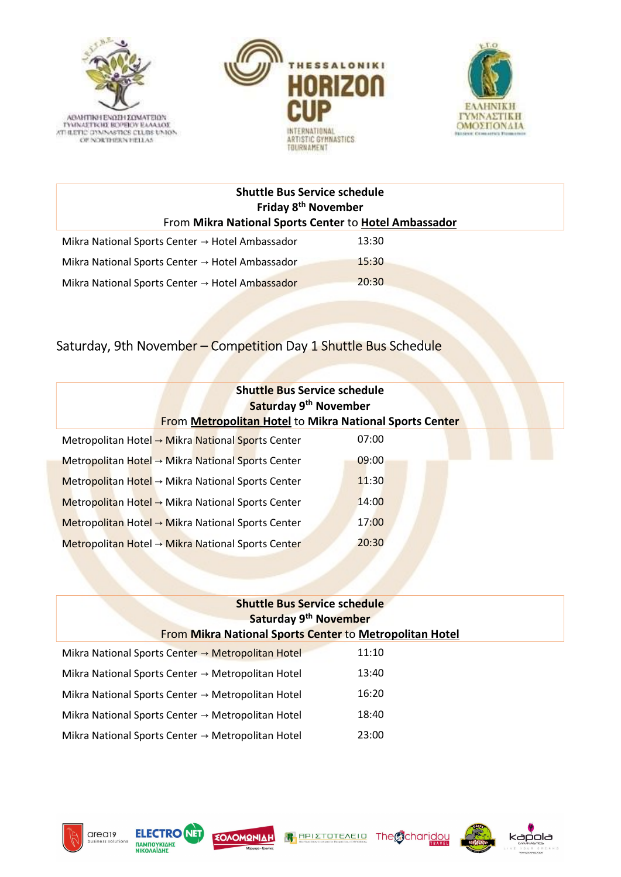





| <b>Shuttle Bus Service schedule</b><br>Friday 8 <sup>th</sup> November<br>From Mikra National Sports Center to Hotel Ambassador |       |  |
|---------------------------------------------------------------------------------------------------------------------------------|-------|--|
| Mikra National Sports Center $\rightarrow$ Hotel Ambassador                                                                     | 13:30 |  |
| Mikra National Sports Center $\rightarrow$ Hotel Ambassador                                                                     | 15:30 |  |
| Mikra National Sports Center $\rightarrow$ Hotel Ambassador                                                                     | 20:30 |  |

# Saturday, 9th November – Competition Day 1 Shuttle Bus Schedule

| <b>Shuttle Bus Service schedule</b><br>Saturday 9 <sup>th</sup> November<br><b>From Metropolitan Hotel to Mikra National Sports Center</b> |       |  |
|--------------------------------------------------------------------------------------------------------------------------------------------|-------|--|
| Metropolitan Hotel → Mikra National Sports Center                                                                                          | 07:00 |  |
| Metropolitan Hotel $\rightarrow$ Mikra National Sports Center                                                                              | 09:00 |  |
| Metropolitan Hotel $\rightarrow$ Mikra National Sports Center                                                                              | 11:30 |  |
| Metropolitan Hotel $\rightarrow$ Mikra National Sports Center                                                                              | 14:00 |  |
| Metropolitan Hotel → Mikra National Sports Center                                                                                          | 17:00 |  |
| Metropolitan Hotel → Mikra National Sports Center                                                                                          | 20:30 |  |

| <b>Shuttle Bus Service schedule</b><br>Saturday 9th November  |       |                                                                |
|---------------------------------------------------------------|-------|----------------------------------------------------------------|
|                                                               |       | <b>From Mikra National Sports Center to Metropolitan Hotel</b> |
| Mikra National Sports Center $\rightarrow$ Metropolitan Hotel | 11:10 |                                                                |
| Mikra National Sports Center $\rightarrow$ Metropolitan Hotel | 13:40 |                                                                |
| Mikra National Sports Center $\rightarrow$ Metropolitan Hotel | 16:20 |                                                                |
| Mikra National Sports Center $\rightarrow$ Metropolitan Hotel | 18:40 |                                                                |
| Mikra National Sports Center $\rightarrow$ Metropolitan Hotel | 23:00 |                                                                |







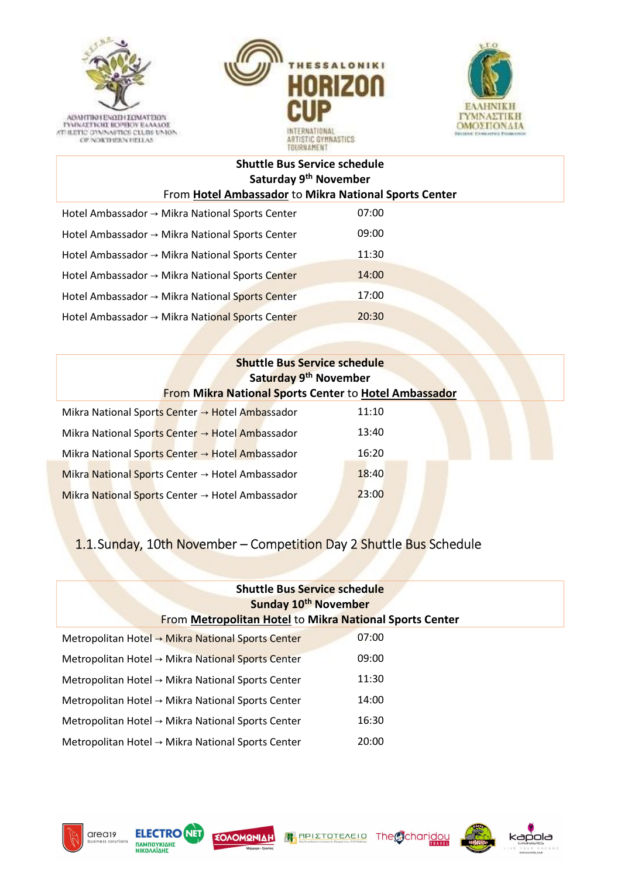





#### Shuttle Bus Service schedule Saturday 9th November From Hotel Ambassador to Mikra National Sports Center

| Hotel Ambassador → Mikra National Sports Center             | 07:00 |
|-------------------------------------------------------------|-------|
| Hotel Ambassador → Mikra National Sports Center             | 09:00 |
| Hotel Ambassador $\rightarrow$ Mikra National Sports Center | 11:30 |
| Hotel Ambassador $\rightarrow$ Mikra National Sports Center | 14:00 |
| Hotel Ambassador → Mikra National Sports Center             | 17:00 |
| Hotel Ambassador $\rightarrow$ Mikra National Sports Center | 20:30 |

| <b>Shuttle Bus Service schedule</b><br>Saturday 9 <sup>th</sup> November<br>From Mikra National Sports Center to Hotel Ambassador |       |  |
|-----------------------------------------------------------------------------------------------------------------------------------|-------|--|
| Mikra National Sports Center → Hotel Ambassador                                                                                   | 11:10 |  |
| Mikra National Sports Center $\rightarrow$ Hotel Ambassador                                                                       | 13:40 |  |
| Mikra National Sports Center → Hotel Ambassador                                                                                   | 16:20 |  |
| Mikra National Sports Center $\rightarrow$ Hotel Ambassador                                                                       | 18:40 |  |
| Mikra National Sports Center $\rightarrow$ Hotel Ambassador                                                                       | 23:00 |  |

# 1.1.Sunday, 10th November – Competition Day 2 Shuttle Bus Schedule

| <b>Shuttle Bus Service schedule</b>                            |       |  |
|----------------------------------------------------------------|-------|--|
| Sunday 10 <sup>th</sup> November                               |       |  |
| <b>From Metropolitan Hotel to Mikra National Sports Center</b> |       |  |
| Metropolitan Hotel → Mikra National Sports Center              | 07:00 |  |
| Metropolitan Hotel $\rightarrow$ Mikra National Sports Center  | 09:00 |  |
| Metropolitan Hotel $\rightarrow$ Mikra National Sports Center  | 11:30 |  |
| Metropolitan Hotel $\rightarrow$ Mikra National Sports Center  | 14:00 |  |
| Metropolitan Hotel $\rightarrow$ Mikra National Sports Center  | 16:30 |  |
| Metropolitan Hotel → Mikra National Sports Center              | 20:00 |  |